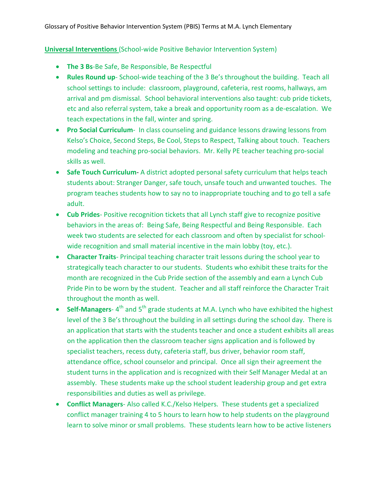## **Universal Interventions** (School-wide Positive Behavior Intervention System)

- **The 3 Bs**-Be Safe, Be Responsible, Be Respectful
- **Rules Round up** School-wide teaching of the 3 Be's throughout the building. Teach all school settings to include: classroom, playground, cafeteria, rest rooms, hallways, am arrival and pm dismissal. School behavioral interventions also taught: cub pride tickets, etc and also referral system, take a break and opportunity room as a de-escalation. We teach expectations in the fall, winter and spring.
- **Pro Social Curriculum** In class counseling and guidance lessons drawing lessons from Kelso's Choice, Second Steps, Be Cool, Steps to Respect, Talking about touch. Teachers modeling and teaching pro-social behaviors. Mr. Kelly PE teacher teaching pro-social skills as well.
- **Safe Touch Curriculum** A district adopted personal safety curriculum that helps teach students about: Stranger Danger, safe touch, unsafe touch and unwanted touches. The program teaches students how to say no to inappropriate touching and to go tell a safe adult.
- **Cub Prides** Positive recognition tickets that all Lynch staff give to recognize positive behaviors in the areas of: Being Safe, Being Respectful and Being Responsible. Each week two students are selected for each classroom and often by specialist for schoolwide recognition and small material incentive in the main lobby (toy, etc.).
- **Character Traits** Principal teaching character trait lessons during the school year to strategically teach character to our students. Students who exhibit these traits for the month are recognized in the Cub Pride section of the assembly and earn a Lynch Cub Pride Pin to be worn by the student. Teacher and all staff reinforce the Character Trait throughout the month as well.
- **Self-Managers**-4<sup>th</sup> and 5<sup>th</sup> grade students at M.A. Lynch who have exhibited the highest level of the 3 Be's throughout the building in all settings during the school day. There is an application that starts with the students teacher and once a student exhibits all areas on the application then the classroom teacher signs application and is followed by specialist teachers, recess duty, cafeteria staff, bus driver, behavior room staff, attendance office, school counselor and principal. Once all sign their agreement the student turns in the application and is recognized with their Self Manager Medal at an assembly. These students make up the school student leadership group and get extra responsibilities and duties as well as privilege.
- **Conflict Managers** Also called K.C./Kelso Helpers. These students get a specialized conflict manager training 4 to 5 hours to learn how to help students on the playground learn to solve minor or small problems. These students learn how to be active listeners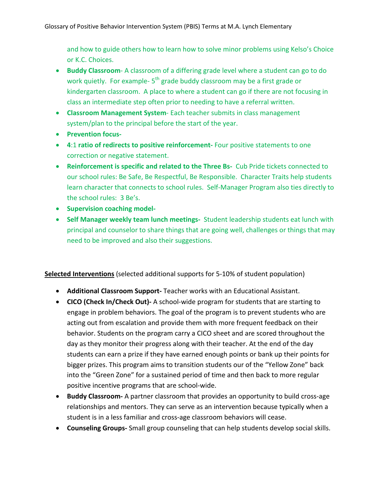and how to guide others how to learn how to solve minor problems using Kelso's Choice or K.C. Choices.

- **Buddy Classroom** A classroom of a differing grade level where a student can go to do work quietly. For example- 5<sup>th</sup> grade buddy classroom may be a first grade or kindergarten classroom. A place to where a student can go if there are not focusing in class an intermediate step often prior to needing to have a referral written.
- **Classroom Management System** Each teacher submits in class management system/plan to the principal before the start of the year.
- **Prevention focus-**
- **4**:1 **ratio of redirects to positive reinforcement-** Four positive statements to one correction or negative statement.
- **Reinforcement is specific and related to the Three Bs-** Cub Pride tickets connected to our school rules: Be Safe, Be Respectful, Be Responsible. Character Traits help students learn character that connects to school rules. Self-Manager Program also ties directly to the school rules: 3 Be's.
- **Supervision coaching model-**
- **Self Manager weekly team lunch meetings-** Student leadership students eat lunch with principal and counselor to share things that are going well, challenges or things that may need to be improved and also their suggestions.

**Selected Interventions** (selected additional supports for 5-10% of student population)

- **Additional Classroom Support-** Teacher works with an Educational Assistant.
- **CICO (Check In/Check Out)-** A school-wide program for students that are starting to engage in problem behaviors. The goal of the program is to prevent students who are acting out from escalation and provide them with more frequent feedback on their behavior. Students on the program carry a CICO sheet and are scored throughout the day as they monitor their progress along with their teacher. At the end of the day students can earn a prize if they have earned enough points or bank up their points for bigger prizes. This program aims to transition students our of the "Yellow Zone" back into the "Green Zone" for a sustained period of time and then back to more regular positive incentive programs that are school-wide.
- **Buddy Classroom-** A partner classroom that provides an opportunity to build cross-age relationships and mentors. They can serve as an intervention because typically when a student is in a less familiar and cross-age classroom behaviors will cease.
- **Counseling Groups-** Small group counseling that can help students develop social skills.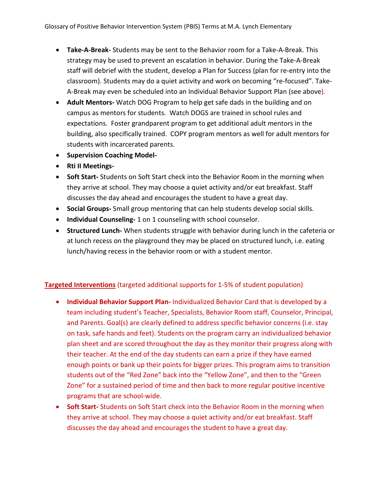- **Take-A-Break-** Students may be sent to the Behavior room for a Take-A-Break. This strategy may be used to prevent an escalation in behavior. During the Take-A-Break staff will debrief with the student, develop a Plan for Success (plan for re-entry into the classroom). Students may do a quiet activity and work on becoming "re-focused". Take-A-Break may even be scheduled into an Individual Behavior Support Plan (see above).
- **Adult Mentors-** Watch DOG Program to help get safe dads in the building and on campus as mentors for students. Watch DOGS are trained in school rules and expectations. Foster grandparent program to get additional adult mentors in the building, also specifically trained. COPY program mentors as well for adult mentors for students with incarcerated parents.
- **Supervision Coaching Model-**
- **Rti II Meetings-**
- **Soft Start-** Students on Soft Start check into the Behavior Room in the morning when they arrive at school. They may choose a quiet activity and/or eat breakfast. Staff discusses the day ahead and encourages the student to have a great day.
- **Social Groups-** Small group mentoring that can help students develop social skills.
- **Individual Counseling-** 1 on 1 counseling with school counselor.
- **Structured Lunch-** When students struggle with behavior during lunch in the cafeteria or at lunch recess on the playground they may be placed on structured lunch, i.e. eating lunch/having recess in the behavior room or with a student mentor.

## **Targeted Interventions** (targeted additional supports for 1-5% of student population)

- **Individual Behavior Support Plan-** Individualized Behavior Card that is developed by a team including student's Teacher, Specialists, Behavior Room staff, Counselor, Principal, and Parents. Goal(s) are clearly defined to address specific behavior concerns (i.e. stay on task, safe hands and feet). Students on the program carry an individualized behavior plan sheet and are scored throughout the day as they monitor their progress along with their teacher. At the end of the day students can earn a prize if they have earned enough points or bank up their points for bigger prizes. This program aims to transition students out of the "Red Zone" back into the "Yellow Zone", and then to the "Green Zone" for a sustained period of time and then back to more regular positive incentive programs that are school-wide.
- **Soft Start-** Students on Soft Start check into the Behavior Room in the morning when they arrive at school. They may choose a quiet activity and/or eat breakfast. Staff discusses the day ahead and encourages the student to have a great day.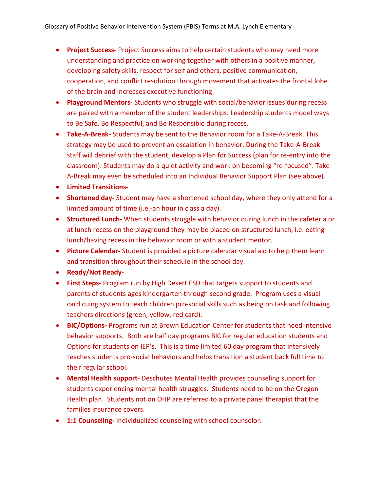- **Project Success-** Project Success aims to help certain students who may need more understanding and practice on working together with others in a positive manner, developing safety skills, respect for self and others, positive communication, cooperation, and conflict resolution through movement that activates the frontal lobe of the brain and increases executive functioning.
- **Playground Mentors-** Students who struggle with social/behavior issues during recess are paired with a member of the student leaderships. Leadership students model ways to Be Safe, Be Respectful, and Be Responsible during recess.
- **Take-A-Break-** Students may be sent to the Behavior room for a Take-A-Break. This strategy may be used to prevent an escalation in behavior. During the Take-A-Break staff will debrief with the student, develop a Plan for Success (plan for re-entry into the classroom). Students may do a quiet activity and work on becoming "re-focused". Take-A-Break may even be scheduled into an Individual Behavior Support Plan (see above).
- **Limited Transitions-**
- **Shortened day-** Student may have a shortened school day, where they only attend for a limited amount of time (i.e.-an hour in class a day).
- **Structured Lunch-** When students struggle with behavior during lunch in the cafeteria or at lunch recess on the playground they may be placed on structured lunch, i.e. eating lunch/having recess in the behavior room or with a student mentor.
- **Picture Calendar-** Student is provided a picture calendar visual aid to help them learn and transition throughout their schedule in the school day.
- **Ready/Not Ready-**
- **First Steps-** Program run by High Desert ESD that targets support to students and parents of students ages kindergarten through second grade. Program uses a visual card cuing system to teach children pro-social skills such as being on task and following teachers directions (green, yellow, red card).
- **BIC/Options-** Programs run at Brown Education Center for students that need intensive behavior supports. Both are half day programs BIC for regular education students and Options for students on IEP's. This is a time limited 60 day program that intensively teaches students pro-social behaviors and helps transition a student back full time to their regular school.
- **Mental Health support-** Deschutes Mental Health provides counseling support for students experiencing mental health struggles. Students need to be on the Oregon Health plan. Students not on OHP are referred to a private panel therapist that the families insurance covers.
- **1:1 Counseling-** Individualized counseling with school counselor.